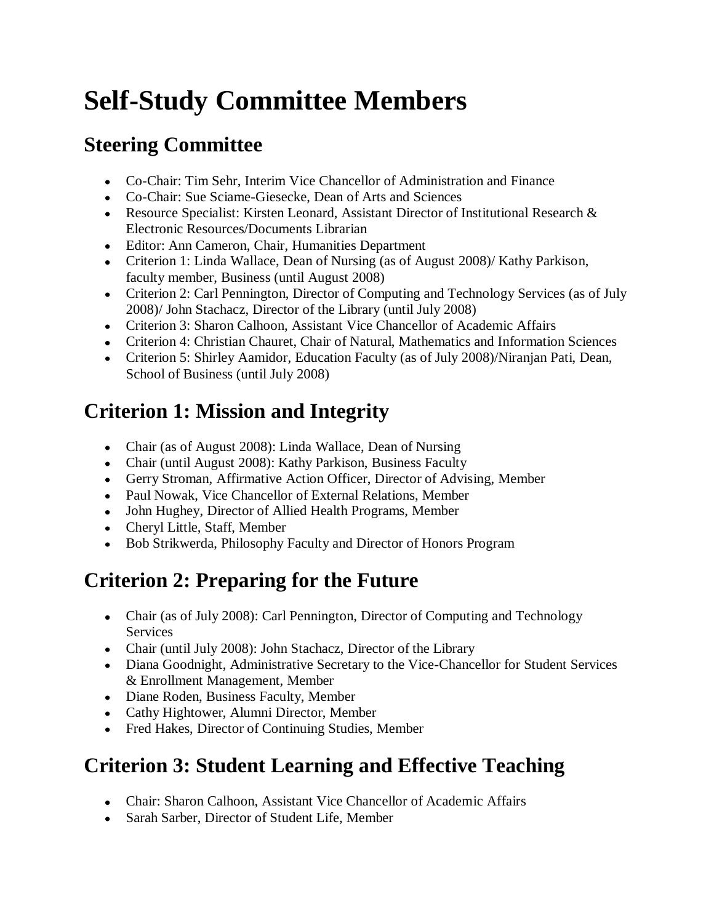# **Self-Study Committee Members**

#### **Steering Committee**

- Co-Chair: Tim Sehr, Interim Vice Chancellor of Administration and Finance
- Co-Chair: Sue Sciame-Giesecke, Dean of Arts and Sciences
- Resource Specialist: Kirsten Leonard, Assistant Director of Institutional Research & Electronic Resources/Documents Librarian
- Editor: Ann Cameron, Chair, Humanities Department
- Criterion 1: Linda Wallace, Dean of Nursing (as of August 2008)/ Kathy Parkison, faculty member, Business (until August 2008)
- Criterion 2: Carl Pennington, Director of Computing and Technology Services (as of July 2008)/ John Stachacz, Director of the Library (until July 2008)
- Criterion 3: Sharon Calhoon, Assistant Vice Chancellor of Academic Affairs
- Criterion 4: Christian Chauret, Chair of Natural, Mathematics and Information Sciences
- Criterion 5: Shirley Aamidor, Education Faculty (as of July 2008)/Niranjan Pati, Dean, School of Business (until July 2008)

#### **Criterion 1: Mission and Integrity**

- Chair (as of August 2008): Linda Wallace, Dean of Nursing
- Chair (until August 2008): Kathy Parkison, Business Faculty
- Gerry Stroman, Affirmative Action Officer, Director of Advising, Member
- Paul Nowak, Vice Chancellor of External Relations, Member
- John Hughey, Director of Allied Health Programs, Member
- Cheryl Little, Staff, Member
- Bob Strikwerda, Philosophy Faculty and Director of Honors Program

## **Criterion 2: Preparing for the Future**

- Chair (as of July 2008): Carl Pennington, Director of Computing and Technology Services
- Chair (until July 2008): John Stachacz, Director of the Library
- Diana Goodnight, Administrative Secretary to the Vice-Chancellor for Student Services & Enrollment Management, Member
- Diane Roden, Business Faculty, Member
- Cathy Hightower, Alumni Director, Member
- Fred Hakes, Director of Continuing Studies, Member

## **Criterion 3: Student Learning and Effective Teaching**

- Chair: Sharon Calhoon, Assistant Vice Chancellor of Academic Affairs
- Sarah Sarber, Director of Student Life, Member